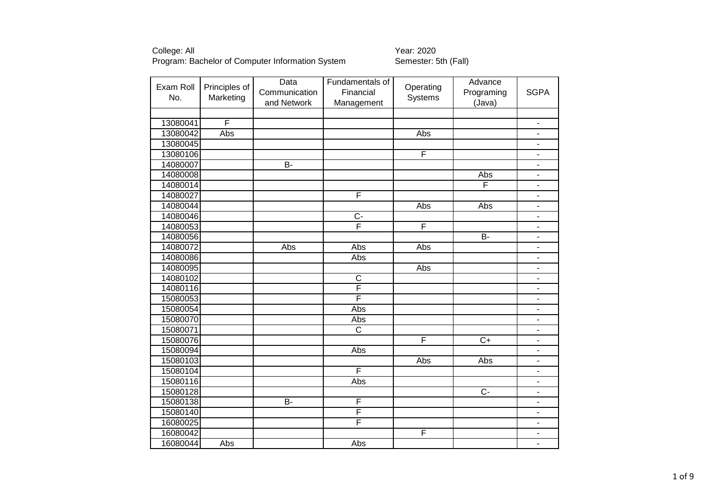| Exam Roll<br>No. | Principles of<br>Marketing | Data<br>Communication | Fundamentals of<br>Financial | Operating<br>Systems    | Advance<br>Programing | <b>SGPA</b>                  |
|------------------|----------------------------|-----------------------|------------------------------|-------------------------|-----------------------|------------------------------|
|                  |                            | and Network           | Management                   |                         | (Java)                |                              |
| 13080041         | F                          |                       |                              |                         |                       | -                            |
| 13080042         | Abs                        |                       |                              | Abs                     |                       | $\frac{1}{2}$                |
| 13080045         |                            |                       |                              |                         |                       | ۰                            |
| 13080106         |                            |                       |                              | $\overline{\mathsf{F}}$ |                       | $\frac{1}{2}$                |
| 14080007         |                            | $\overline{B}$        |                              |                         |                       | $\overline{\phantom{0}}$     |
| 14080008         |                            |                       |                              |                         | Abs                   | ٠                            |
| 14080014         |                            |                       |                              |                         | F                     | $\overline{\phantom{0}}$     |
| 14080027         |                            |                       | F                            |                         |                       |                              |
| 14080044         |                            |                       |                              | Abs                     | Abs                   | ä,                           |
| 14080046         |                            |                       | $\overline{C}$               |                         |                       | ä,                           |
| 14080053         |                            |                       | $\overline{\mathsf{F}}$      | F                       |                       | $\overline{\phantom{0}}$     |
| 14080056         |                            |                       |                              |                         | B-                    | $\qquad \qquad \blacksquare$ |
| 14080072         |                            | Abs                   | Abs                          | Abs                     |                       | $\blacksquare$               |
| 14080086         |                            |                       | Abs                          |                         |                       | $\blacksquare$               |
| 14080095         |                            |                       |                              | Abs                     |                       | $\frac{1}{2}$                |
| 14080102         |                            |                       | $\mathsf C$                  |                         |                       | ٠                            |
| 14080116         |                            |                       | F                            |                         |                       | ۰                            |
| 15080053         |                            |                       | F                            |                         |                       | ÷,                           |
| 15080054         |                            |                       | Abs                          |                         |                       |                              |
| 15080070         |                            |                       | Abs                          |                         |                       |                              |
| 15080071         |                            |                       | $\overline{\text{c}}$        |                         |                       | ۰                            |
| 15080076         |                            |                       |                              | F                       | $\overline{C}$        | $\overline{\phantom{0}}$     |
| 15080094         |                            |                       | Abs                          |                         |                       | $\overline{\phantom{a}}$     |
| 15080103         |                            |                       |                              | Abs                     | Abs                   | $\blacksquare$               |
| 15080104         |                            |                       | F                            |                         |                       | ٠                            |
| 15080116         |                            |                       | Abs                          |                         |                       | $\overline{\phantom{a}}$     |
| 15080128         |                            |                       |                              |                         | $\overline{C}$        | $\overline{\phantom{0}}$     |
| 15080138         |                            | $\overline{B}$        | F                            |                         |                       |                              |
| 15080140         |                            |                       | F                            |                         |                       | $\overline{\phantom{0}}$     |
| 16080025         |                            |                       | F                            |                         |                       | -                            |
| 16080042         |                            |                       |                              | F                       |                       | ۰                            |
| 16080044         | Abs                        |                       | Abs                          |                         |                       | $\blacksquare$               |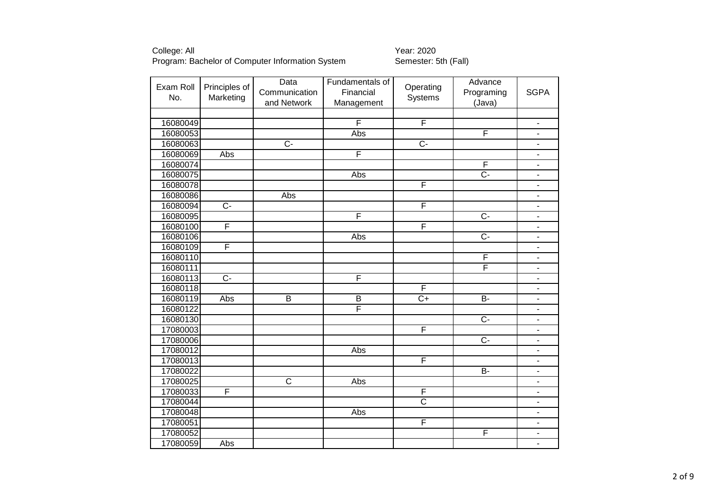| Exam Roll<br>No. | Principles of  | Data<br>Communication | Fundamentals of<br>Financial | Operating             | Advance<br>Programing | <b>SGPA</b>                  |
|------------------|----------------|-----------------------|------------------------------|-----------------------|-----------------------|------------------------------|
|                  | Marketing      | and Network           | Management                   | Systems               | (Java)                |                              |
|                  |                |                       |                              |                       |                       |                              |
| 16080049         |                |                       | F                            | F                     |                       | $\overline{\phantom{m}}$     |
| 16080053         |                |                       | Abs                          |                       | F                     | ٠                            |
| 16080063         |                | $\overline{C}$        |                              | $\overline{C}$        |                       | ٠                            |
| 16080069         | Abs            |                       | $\overline{\mathsf{F}}$      |                       |                       | $\overline{\phantom{0}}$     |
| 16080074         |                |                       |                              |                       | F                     | $\overline{\phantom{0}}$     |
| 16080075         |                |                       | Abs                          |                       | $\overline{C}$ -      | $\overline{\phantom{a}}$     |
| 16080078         |                |                       |                              | F                     |                       |                              |
| 16080086         |                | <b>Abs</b>            |                              |                       |                       | $\blacksquare$               |
| 16080094         | $\overline{C}$ |                       |                              | F                     |                       | ä,                           |
| 16080095         |                |                       | F                            |                       | $\overline{C}$        | $\overline{\phantom{0}}$     |
| 16080100         | F              |                       |                              | F                     |                       | $\overline{\phantom{a}}$     |
| 16080106         |                |                       | Abs                          |                       | $\overline{C}$        | $\blacksquare$               |
| 16080109         | F              |                       |                              |                       |                       | $\overline{\phantom{a}}$     |
| 16080110         |                |                       |                              |                       | F                     | $\blacksquare$               |
| 16080111         |                |                       |                              |                       | F                     | $\blacksquare$               |
| 16080113         | $\overline{C}$ |                       | F                            |                       |                       |                              |
| 16080118         |                |                       |                              | F                     |                       | $\overline{\phantom{0}}$     |
| 16080119         | Abs            | $\overline{B}$        | $\overline{B}$               | $\overline{C+}$       | $B -$                 | $\overline{\phantom{0}}$     |
| 16080122         |                |                       | F                            |                       |                       |                              |
| 16080130         |                |                       |                              |                       | $\overline{C}$ -      | ÷,                           |
| 17080003         |                |                       |                              | F                     |                       | ٠                            |
| 17080006         |                |                       |                              |                       | $\overline{C}$        | $\overline{\phantom{0}}$     |
| 17080012         |                |                       | Abs                          |                       |                       | $\qquad \qquad \blacksquare$ |
| 17080013         |                |                       |                              | F                     |                       | $\blacksquare$               |
| 17080022         |                |                       |                              |                       | $\overline{B}$        | $\blacksquare$               |
| 17080025         |                | $\overline{\text{c}}$ | Abs                          |                       |                       | ä,                           |
| 17080033         | F              |                       |                              | F                     |                       | $\overline{\phantom{0}}$     |
| 17080044         |                |                       |                              | $\overline{\text{c}}$ |                       | -                            |
| 17080048         |                |                       | Abs                          |                       |                       | ÷,                           |
| 17080051         |                |                       |                              | F                     |                       | -                            |
| 17080052         |                |                       |                              |                       | F                     | ۰                            |
| 17080059         | Abs            |                       |                              |                       |                       | ä,                           |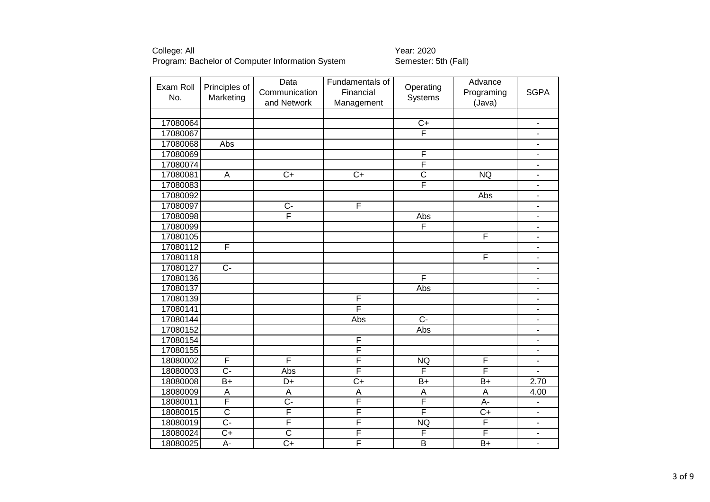Exam Roll No. Principles of Marketing Data Communication and Network Fundamentals of Financial Management **Operating** Systems<sup>®</sup> Advance Programing (Java) **SGPA** 17080064 C+ - 17080067 F - 17080068 Abs - 17080069 F - 17080074 F - 17080081 | A | C+ | C+ | C | NQ | -17080083 F - 17080092 Abs - 17080097 C- F - 17080098 F Abs - 17080099 F - 17080105 F - 17080112 F - 17080118 F - 17080127 C- - 17080136 F - 17080137 Abs - 17080139 F - 17080141 F - 17080144 Abs C- - 17080152 Abs - 17080154 F - 17080155 F - 18080002 F F F F NQ F F -18080003 | C- | Abs | F | F | F | -18080008 B+ D+ C+ B+ B+ 2.70 18080009 | A | A | A | A | 4.00 18080011 F C- F F F A- I -18080015 | C | F | F | F | C+ | -18080019 | C- | F | F | NQ | F | -18080024 C+ C F F F F F -18080025 A- C+ F F B B+ B+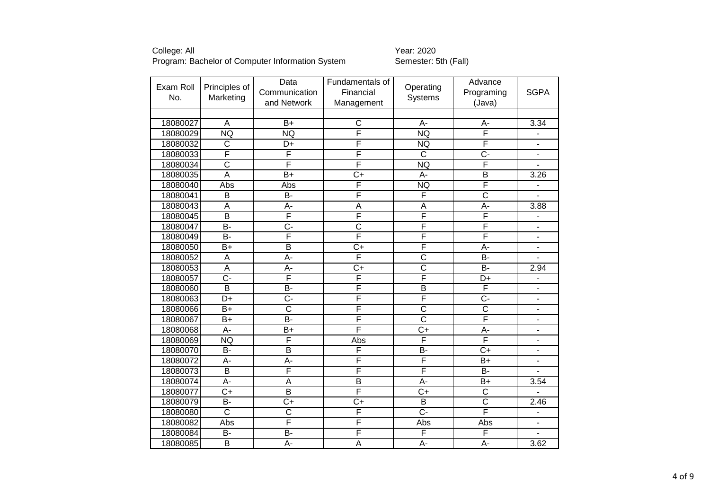| Exam Roll |                         | Data                    | Fundamentals of         |                         | Advance                 |                          |
|-----------|-------------------------|-------------------------|-------------------------|-------------------------|-------------------------|--------------------------|
|           | Principles of           | Communication           | Financial               | Operating               | Programing              | <b>SGPA</b>              |
| No.       | Marketing               | and Network             | Management              | Systems                 | (Java)                  |                          |
|           |                         |                         |                         |                         |                         |                          |
| 18080027  | $\overline{A}$          | $B+$                    | C                       | $A -$                   | A-                      | 3.34                     |
| 18080029  | <b>NQ</b>               | <b>NQ</b>               | F                       | <b>NQ</b>               | F                       |                          |
| 18080032  | $\overline{C}$          | D+                      | $\overline{\mathsf{F}}$ | <b>NQ</b>               | F                       | $\blacksquare$           |
| 18080033  | F                       | F                       | $\overline{\mathsf{F}}$ | $\overline{\text{c}}$   | C-                      | $\blacksquare$           |
| 18080034  | $\overline{\text{c}}$   | F                       | F                       | <b>NQ</b>               | F                       |                          |
| 18080035  | $\overline{A}$          | $B+$                    | $\overline{C+}$         | $A -$                   | $\overline{\mathsf{B}}$ | 3.26                     |
| 18080040  | Abs                     | Abs                     | $\overline{\mathsf{F}}$ | <b>NQ</b>               | F                       |                          |
| 18080041  | $\overline{\mathsf{B}}$ | B-                      | F                       | F                       | $\overline{\text{c}}$   |                          |
| 18080043  | $\overline{A}$          | A-                      | A                       | $\overline{A}$          | $\overline{A}$ -        | 3.88                     |
| 18080045  | $\overline{\mathsf{B}}$ | F                       | F                       | F                       | F                       | $\overline{\phantom{a}}$ |
| 18080047  | $\overline{B}$          | $\overline{C}$ -        | $\overline{\text{c}}$   | F                       | F                       | ä,                       |
| 18080049  | $\overline{B}$          | F                       | F                       | F                       | F                       | $\blacksquare$           |
| 18080050  | $B+$                    | $\overline{\mathsf{B}}$ | $\overline{C}$          | F                       | А-                      | $\blacksquare$           |
| 18080052  | $\overline{A}$          | A-                      | F                       | $\overline{\text{c}}$   | $\overline{B}$          | $\blacksquare$           |
| 18080053  | $\overline{A}$          | A-                      | $\overline{C+}$         | $\overline{\text{c}}$   | $\overline{B}$          | 2.94                     |
| 18080057  | $\overline{C}$          | F                       | F                       | F                       | D+                      |                          |
| 18080060  | $\overline{\mathsf{B}}$ | $\overline{B}$          | F                       | $\overline{\mathsf{B}}$ | F                       | $\overline{a}$           |
| 18080063  | D+                      | Ċ-                      | F                       | F                       | $\overline{C}$ -        | $\blacksquare$           |
| 18080066  | $B+$                    | $\overline{\text{c}}$   | F                       | $\overline{\text{c}}$   | $\overline{\text{c}}$   | $\blacksquare$           |
| 18080067  | $\overline{B}$          | $\overline{B}$          | F                       | $\overline{\text{c}}$   | F                       | $\blacksquare$           |
| 18080068  | A-                      | $B+$                    | F                       | $\overline{C}$          | A-                      | $\blacksquare$           |
| 18080069  | <b>NQ</b>               | F                       | Abs                     | F                       | F                       | $\blacksquare$           |
| 18080070  | B-                      | $\overline{\mathsf{B}}$ | F                       | $\overline{B}$          | $\overline{C}$          | $\blacksquare$           |
| 18080072  | A-                      | A-                      | F                       | F                       | $B+$                    | $\overline{\phantom{a}}$ |
| 18080073  | $\overline{B}$          | F                       | F                       | F                       | <b>B-</b>               | $\blacksquare$           |
| 18080074  | $A -$                   | $\overline{A}$          | $\overline{\mathsf{B}}$ | $A -$                   | $\overline{B+}$         | 3.54                     |
| 18080077  | $C+$                    | B                       | F                       | $C+$                    | C                       |                          |
| 18080079  | $\overline{B}$          | $C+$                    | $\overline{C}$          | $\overline{B}$          | $\overline{\text{c}}$   | 2.46                     |
| 18080080  | $\overline{\text{c}}$   | $\overline{\text{c}}$   | F                       | $\overline{C}$ -        | F                       |                          |
| 18080082  | Abs                     | F                       | $\overline{\mathsf{F}}$ | Abs                     | Abs                     |                          |
| 18080084  | B-                      | B-                      | F                       | F                       | F                       |                          |
| 18080085  | $\overline{\mathsf{B}}$ | $A -$                   | $\overline{A}$          | $A -$                   | $A -$                   | 3.62                     |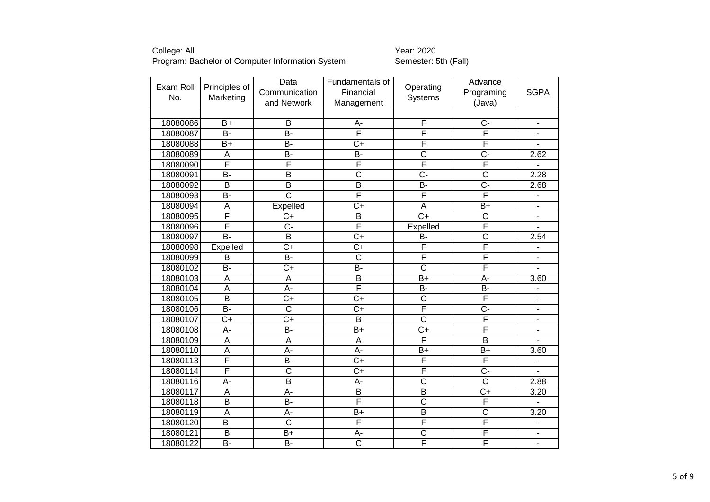| Exam Roll | Principles of    | Data                    | Fundamentals of         |                         | Advance                 |                          |
|-----------|------------------|-------------------------|-------------------------|-------------------------|-------------------------|--------------------------|
| No.       | Marketing        | Communication           | Financial               | Operating<br>Systems    | Programing              | <b>SGPA</b>              |
|           |                  | and Network             | Management              |                         | (Java)                  |                          |
|           |                  |                         |                         |                         |                         |                          |
| 18080086  | $B+$             | B                       | А-                      | F                       | $C -$                   | $\overline{\phantom{a}}$ |
| 18080087  | $\overline{B}$   | B-                      | F                       | F                       | F                       | ۰                        |
| 18080088  | $B+$             | <b>B-</b>               | $\overline{C}$          | F                       | F                       | $\blacksquare$           |
| 18080089  | $\overline{A}$   | <b>B-</b>               | <b>B-</b>               | $\overline{\text{c}}$   | $C -$                   | 2.62                     |
| 18080090  | F                | F                       | F                       | F                       | F                       |                          |
| 18080091  | $\overline{B}$   | $\overline{B}$          | $\overline{\text{c}}$   | $\overline{C}$          | $\overline{\text{c}}$   | 2.28                     |
| 18080092  | $\overline{B}$   | $\overline{B}$          | $\overline{B}$          | $\overline{B}$          | $\overline{C}$ -        | 2.68                     |
| 18080093  | B-               | $\overline{\text{c}}$   | F                       | F                       | F                       |                          |
| 18080094  | A                | Expelled                | $C+$                    | A                       | $B+$                    | $\blacksquare$           |
| 18080095  | F                | $\overline{C+}$         | $\overline{B}$          | $\overline{C+}$         | $\overline{\text{c}}$   | $\overline{a}$           |
| 18080096  | F                | $\overline{C}$ -        | F                       | <b>Expelled</b>         | F                       |                          |
| 18080097  | $\overline{B}$   | $\overline{B}$          | $\overline{C+}$         | $\overline{B}$          | $\overline{\text{c}}$   | 2.54                     |
| 18080098  | Expelled         | $\overline{C+}$         | $\overline{C+}$         | F                       | F                       | $\overline{\phantom{a}}$ |
| 18080099  | B                | $\overline{B}$          | $\overline{\text{c}}$   | F                       | F                       | $\overline{\phantom{m}}$ |
| 18080102  | <b>B-</b>        | $C+$                    | <b>B-</b>               | $\overline{\text{c}}$   | F                       | $\blacksquare$           |
| 18080103  | A                | A                       | $\overline{B}$          | $B+$                    | A-                      | 3.60                     |
| 18080104  | A                | A-                      | F                       | <b>B-</b>               | B-                      | $\blacksquare$           |
| 18080105  | $\overline{B}$   | $C+$                    | $\overline{C}$          | $\overline{\text{c}}$   | F                       | $\overline{\phantom{a}}$ |
| 18080106  | $\overline{B}$   | $\overline{\text{c}}$   | $\overline{C}$          | F                       | $\overline{C}$ -        | ä,                       |
| 18080107  | $\overline{C+}$  | $\overline{C+}$         | $\overline{\mathsf{B}}$ | $\overline{\text{c}}$   | F                       | $\blacksquare$           |
| 18080108  | A-               | <b>B-</b>               | $B+$                    | $C+$                    | F                       | ٠                        |
| 18080109  | $\overline{A}$   | $\overline{A}$          | A                       | F                       | $\overline{\mathsf{B}}$ |                          |
| 18080110  | Ā                | $\overline{A}$ -        | $A -$                   | $\overline{B+}$         | $\overline{B+}$         | 3.60                     |
| 18080113  | F                | B-                      | $\overline{C}$          | F                       | F                       | $\blacksquare$           |
| 18080114  | F                | $\overline{\text{c}}$   | $\overline{C}$          | F                       | C-                      |                          |
| 18080116  | $\overline{A}$ - | $\overline{\mathsf{B}}$ | A-                      | $\overline{\mathsf{c}}$ | $\overline{\text{c}}$   | 2.88                     |
| 18080117  | A                | А-                      | B                       | B                       | $C+$                    | 3.20                     |
| 18080118  | $\overline{B}$   | <b>B-</b>               | F                       | $\overline{\text{c}}$   | F                       |                          |
| 18080119  | $\overline{A}$   | A-                      | $\overline{B}$          | $\overline{\mathsf{B}}$ | $\overline{\text{c}}$   | 3.20                     |
| 18080120  | <b>B-</b>        | $\overline{\text{c}}$   | F                       | F                       | F                       | $\blacksquare$           |
| 18080121  | $\overline{B}$   | $B+$                    | A-                      | $\overline{\text{c}}$   | F                       |                          |
| 18080122  | $\overline{B}$   | $\overline{B}$          | $\overline{\text{c}}$   | F                       | F                       |                          |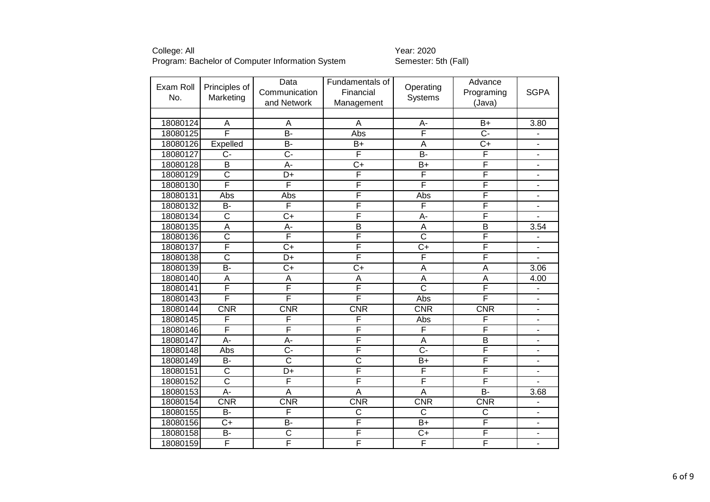| Exam Roll |                         | Data                  | Fundamentals of         |                       | Advance                 |                              |
|-----------|-------------------------|-----------------------|-------------------------|-----------------------|-------------------------|------------------------------|
|           | Principles of           | Communication         | Financial               | Operating             | Programing              | <b>SGPA</b>                  |
| No.       | Marketing               | and Network           | Management              | Systems               | (Java)                  |                              |
|           |                         |                       |                         |                       |                         |                              |
| 18080124  | A                       | A                     | A                       | $A -$                 | $B+$                    | 3.80                         |
| 18080125  | $\overline{\mathsf{F}}$ | $\overline{B}$        | Abs                     | F                     | $\overline{C}$ -        | $\qquad \qquad \blacksquare$ |
| 18080126  | Expelled                | B-                    | $B+$                    | A                     | $C+$                    | $\blacksquare$               |
| 18080127  | $C -$                   | C-                    | F                       | $\overline{B}$        | F                       | $\overline{\phantom{a}}$     |
| 18080128  | B                       | A-                    | $\overline{C}$          | B+                    | F                       | $\overline{\phantom{a}}$     |
| 18080129  | $\overline{\text{c}}$   | D+                    | F                       | F                     | F                       | $\overline{a}$               |
| 18080130  | F                       | F                     | F                       | F                     | F                       | $\overline{\phantom{a}}$     |
| 18080131  | Abs                     | Abs                   | F                       | Abs                   | F                       | $\blacksquare$               |
| 18080132  | <b>B-</b>               | F                     | F                       | F                     | F                       | $\blacksquare$               |
| 18080134  | $\overline{\text{c}}$   | $C+$                  | F                       | A-                    | F                       |                              |
| 18080135  | $\overline{A}$          | A-                    | $\overline{\mathsf{B}}$ | A                     | $\overline{\mathsf{B}}$ | 3.54                         |
| 18080136  | $\overline{\text{c}}$   | F                     | F                       | $\overline{\text{c}}$ | F                       | $\overline{\phantom{0}}$     |
| 18080137  | F                       | $C+$                  | F                       | $C+$                  | F                       | $\overline{\phantom{a}}$     |
| 18080138  | $\overline{\text{c}}$   | D+                    | F                       | F                     | F                       | ä,                           |
| 18080139  | $\overline{B}$          | $\overline{C+}$       | $\overline{C}$          | $\overline{A}$        | $\overline{A}$          | 3.06                         |
| 18080140  | A                       | A                     | A                       | A                     | A                       | 4.00                         |
| 18080141  | F                       | F                     | F                       | $\overline{\text{c}}$ | F                       | $\blacksquare$               |
| 18080143  | F                       | F                     | F                       | Abs                   | F                       |                              |
| 18080144  | <b>CNR</b>              | CNR                   | CNR                     | <b>CNR</b>            | <b>CNR</b>              | $\blacksquare$               |
| 18080145  | F                       | F                     | F                       | Abs                   | F                       | $\blacksquare$               |
| 18080146  | F                       | F                     | F                       | F                     | F                       | $\blacksquare$               |
| 18080147  | $\overline{A}$          | A-                    | F                       | A                     | $\overline{B}$          | Ē,                           |
| 18080148  | Abs                     | Ç-                    | F                       | $\overline{C}$ -      | F                       | $\blacksquare$               |
| 18080149  | B-                      | $\overline{\text{c}}$ | $\overline{\text{c}}$   | B+                    | F                       | $\blacksquare$               |
| 18080151  | $\overline{\text{C}}$   | D+                    | F                       | F                     | F                       | $\blacksquare$               |
| 18080152  | $\overline{\text{c}}$   | F                     | F                       | F                     | F                       | $\blacksquare$               |
| 18080153  | A-                      | A                     | A                       | A                     | <b>B-</b>               | 3.68                         |
| 18080154  | CNR                     | <b>CNR</b>            | CNR                     | CNR                   | <b>CNR</b>              |                              |
| 18080155  | $B -$                   | F                     | $\overline{\text{c}}$   | $\overline{\text{c}}$ | $\overline{\text{c}}$   | ÷,                           |
| 18080156  | $C+$                    | B-                    | F                       | $B+$                  | F                       | $\blacksquare$               |
| 18080158  | <b>B-</b>               | $\overline{\text{c}}$ | F                       | $C+$                  | F                       | $\blacksquare$               |
| 18080159  | F                       | F                     | F                       | F                     | F                       | $\overline{\phantom{0}}$     |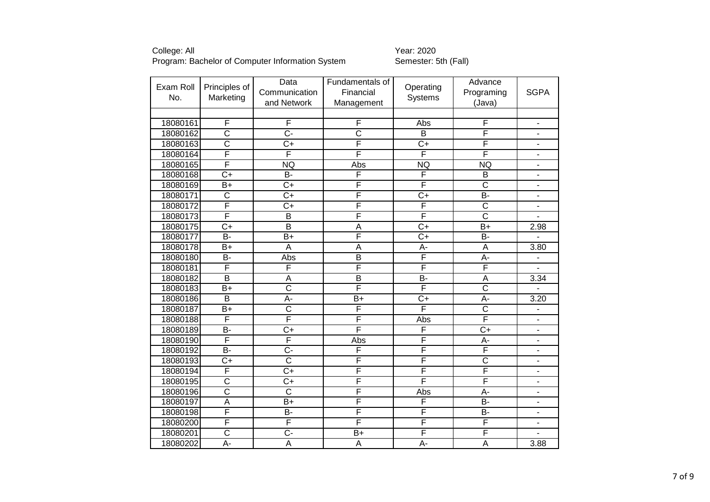College: All Year: 2020 Program: Bachelor of Computer Information System Summer Semester: 5th (Fall)

| Exam Roll |                         | Data                  | Fundamentals of         |                         | Advance               |                          |
|-----------|-------------------------|-----------------------|-------------------------|-------------------------|-----------------------|--------------------------|
|           | Principles of           | Communication         | Financial               | Operating               | Programing            | <b>SGPA</b>              |
| No.       | Marketing               | and Network           | Management              | Systems                 | (Java)                |                          |
|           |                         |                       |                         |                         |                       |                          |
| 18080161  | F                       | F                     | F                       | Abs                     | F                     | $\overline{\phantom{m}}$ |
| 18080162  | $\overline{\mathsf{C}}$ | $\overline{C}$        | $\overline{\text{c}}$   | B                       | F                     | $\overline{\phantom{a}}$ |
| 18080163  | $\overline{\text{c}}$   | $C+$                  | F                       | $\overline{C+}$         | F                     | $\overline{\phantom{a}}$ |
| 18080164  | $\overline{\mathsf{F}}$ | F                     | F                       | $\overline{\mathsf{F}}$ | F                     | $\overline{\phantom{a}}$ |
| 18080165  | F                       | <b>NQ</b>             | Abs                     | NQ                      | <b>NQ</b>             | $\blacksquare$           |
| 18080168  | $\overline{C+}$         | $B -$                 | F                       | $\overline{\mathsf{F}}$ | $\overline{B}$        | $\overline{\phantom{a}}$ |
| 18080169  | $B+$                    | $C+$                  | F                       | F                       | $\overline{\text{c}}$ | $\overline{\phantom{a}}$ |
| 18080171  | $\overline{\text{c}}$   | $\overline{C+}$       | F                       | $\overline{C+}$         | B-                    | $\blacksquare$           |
| 18080172  | F                       | $C+$                  | F                       | F                       | $\overline{\text{c}}$ | $\blacksquare$           |
| 18080173  | F                       | B                     | F                       | F                       | $\overline{\text{c}}$ |                          |
| 18080175  | $\overline{C+}$         | $\overline{B}$        | $\overline{A}$          | $\overline{C+}$         | $\overline{B+}$       | 2.98                     |
| 18080177  | <b>B-</b>               | $B+$                  | $\overline{\mathsf{F}}$ | $\overline{C+}$         | B-                    |                          |
| 18080178  | $B+$                    | A                     | A                       | A-                      | A                     | 3.80                     |
| 18080180  | <b>B-</b>               | Abs                   | $\overline{\mathsf{B}}$ | F                       | A-                    | $\blacksquare$           |
| 18080181  | $\overline{\mathsf{F}}$ | F                     | F                       | $\overline{\mathsf{F}}$ | F                     | $\blacksquare$           |
| 18080182  | $\overline{B}$          | A                     | B                       | B-                      | $\overline{A}$        | 3.34                     |
| 18080183  | $\overline{B}$          | $\overline{\text{c}}$ | F                       | F                       | $\overline{\text{c}}$ | $\overline{a}$           |
| 18080186  | $\overline{B}$          | A-                    | $B+$                    | $C+$                    | $\overline{A}$ -      | 3.20                     |
| 18080187  | $B+$                    | $\overline{\text{c}}$ | F                       | F                       | $\overline{\text{c}}$ |                          |
| 18080188  | F                       | F                     | F                       | Abs                     | F                     | $\blacksquare$           |
| 18080189  | <b>B-</b>               | $C+$                  | F                       | $\overline{F}$          | $C+$                  | $\blacksquare$           |
| 18080190  | F                       | F                     | Abs                     | F                       | A-                    | $\overline{\phantom{a}}$ |
| 18080192  | $\overline{B}$          | $\overline{C}$ -      | F                       | F                       | F                     | $\blacksquare$           |
| 18080193  | $C+$                    | $\overline{\text{c}}$ | F                       | F                       | $\overline{\text{c}}$ | $\overline{\phantom{a}}$ |
| 18080194  | F                       | $C+$                  | F                       | F                       | F                     | $\overline{\phantom{a}}$ |
| 18080195  | $\overline{\text{c}}$   | $\overline{C+}$       | F                       | F                       | F                     | $\overline{\phantom{a}}$ |
| 18080196  | $\overline{\text{c}}$   | $\mathsf{C}$          | F                       | Abs                     | A-                    | $\overline{\phantom{a}}$ |
| 18080197  | A                       | $B+$                  | F                       | $\overline{\mathsf{F}}$ | $\overline{B}$        | $\overline{\phantom{a}}$ |
| 18080198  | F                       | B-                    | F                       | F                       | B-                    | $\overline{\phantom{a}}$ |
| 18080200  | F                       | F                     | F                       | F                       | F                     | $\overline{\phantom{a}}$ |
| 18080201  | $\overline{\text{c}}$   | C-                    | $B+$                    | F                       | F                     |                          |
| 18080202  | $A -$                   | $\overline{A}$        | $\overline{A}$          | $A -$                   | $\overline{A}$        | 3.88                     |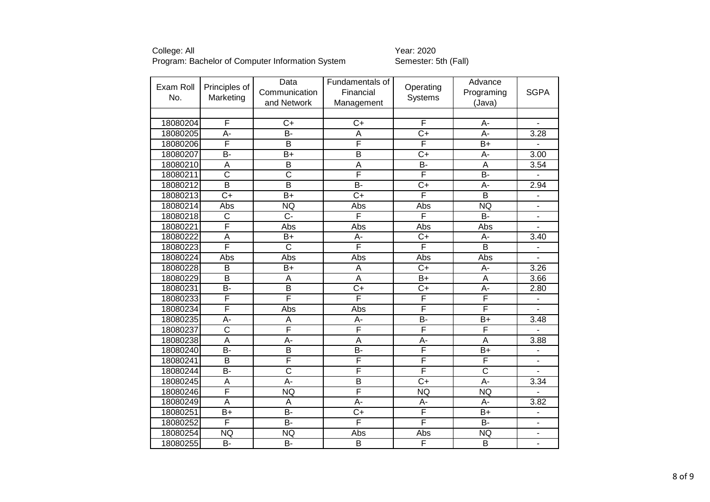| Exam Roll | Principles of           | Data                    | Fundamentals of         |                         | Advance                 |                              |
|-----------|-------------------------|-------------------------|-------------------------|-------------------------|-------------------------|------------------------------|
| No.       | Marketing               | Communication           | Financial               | Operating<br>Systems    | Programing              | <b>SGPA</b>                  |
|           |                         | and Network             | Management              |                         | (Java)                  |                              |
|           |                         |                         |                         |                         |                         |                              |
| 18080204  | F                       | $C+$                    | $C+$                    | $\overline{\mathsf{F}}$ | A-                      | $\overline{\phantom{0}}$     |
| 18080205  | A-                      | B-                      | A                       | $\overline{C+}$         | A-                      | 3.28                         |
| 18080206  | F                       | B                       | F                       | $\overline{\mathsf{F}}$ | $B+$                    |                              |
| 18080207  | $\overline{B}$          | $B+$                    | $\overline{\mathsf{B}}$ | $C+$                    | A-                      | 3.00                         |
| 18080210  | A                       | $\overline{\mathsf{B}}$ | A                       | $\overline{B}$          | A                       | $\overline{3.54}$            |
| 18080211  | $\overline{\text{c}}$   | $\overline{\text{c}}$   | F                       | F                       | B-                      |                              |
| 18080212  | $\overline{\mathsf{B}}$ | $\overline{B}$          | $\overline{B}$          | $\overline{C+}$         | A-                      | 2.94                         |
| 18080213  | $\overline{C+}$         | $B+$                    | $\overline{C}$          | F                       | $\overline{\mathsf{B}}$ |                              |
| 18080214  | Abs                     | <b>NQ</b>               | Abs                     | Abs                     | <b>NQ</b>               | $\blacksquare$               |
| 18080218  | $\overline{\text{c}}$   | $\overline{C}$ -        | F                       | F                       | $\overline{B}$          | $\blacksquare$               |
| 18080221  | F                       | Abs                     | Abs                     | Abs                     | Abs                     |                              |
| 18080222  | A                       | B+                      | A-                      | $\overline{C+}$         | A-                      | 3.40                         |
| 18080223  | F                       | $\overline{\text{c}}$   | F                       | $\overline{\mathsf{F}}$ | $\overline{B}$          | $\overline{\phantom{0}}$     |
| 18080224  | Abs                     | Abs                     | Abs                     | Abs                     | Abs                     | $\overline{\phantom{a}}$     |
| 18080228  | B                       | $B+$                    | A                       | $\overline{C}$          | A-                      | 3.26                         |
| 18080229  | $\overline{\mathsf{B}}$ | A                       | A                       | $\overline{B+}$         | $\overline{A}$          | 3.66                         |
| 18080231  | B-                      | $\overline{B}$          | $\overline{C}$          | $C+$                    | A-                      | 2.80                         |
| 18080233  | F                       | F                       | F                       | F                       | F                       | L.                           |
| 18080234  | F                       | Abs                     | Abs                     | $\overline{\mathsf{F}}$ | F                       |                              |
| 18080235  | $\overline{A}$ -        | $\overline{\mathsf{A}}$ | A-                      | $\overline{B}$          | $\overline{B+}$         | 3.48                         |
| 18080237  | $\overline{\text{c}}$   | F                       | F                       | F                       | F                       |                              |
| 18080238  | $\overline{A}$          | A-                      | A                       | A-                      | $\overline{A}$          | 3.88                         |
| 18080240  | $\overline{B}$          | $\overline{\mathsf{B}}$ | B-                      | F                       | $\overline{B+}$         | $\overline{\phantom{a}}$     |
| 18080241  | B                       | F                       | F                       | F                       | F                       | $\qquad \qquad \blacksquare$ |
| 18080244  | $\overline{B}$          | $\overline{\text{c}}$   | F                       | F                       | $\overline{\text{c}}$   |                              |
| 18080245  | A                       | A-                      | $\overline{\mathsf{B}}$ | $\overline{C+}$         | A-                      | 3.34                         |
| 18080246  | F                       | <b>NQ</b>               | F                       | <b>NQ</b>               | <b>NQ</b>               | $\overline{a}$               |
| 18080249  | A                       | A                       | A-                      | A-                      | A-                      | 3.82                         |
| 18080251  | $\overline{B+}$         | $\overline{B}$          | $\overline{C}$          | F                       | $\overline{B+}$         | $\overline{\phantom{a}}$     |
| 18080252  | F                       | <b>B-</b>               | F                       | $\overline{\mathsf{F}}$ | <b>B-</b>               | $\blacksquare$               |
| 18080254  | <b>NQ</b>               | <b>NQ</b>               | Abs                     | Abs                     | <b>NQ</b>               |                              |
| 18080255  | B-                      | B-                      | $\overline{\mathsf{B}}$ | F                       | $\overline{\mathsf{B}}$ |                              |